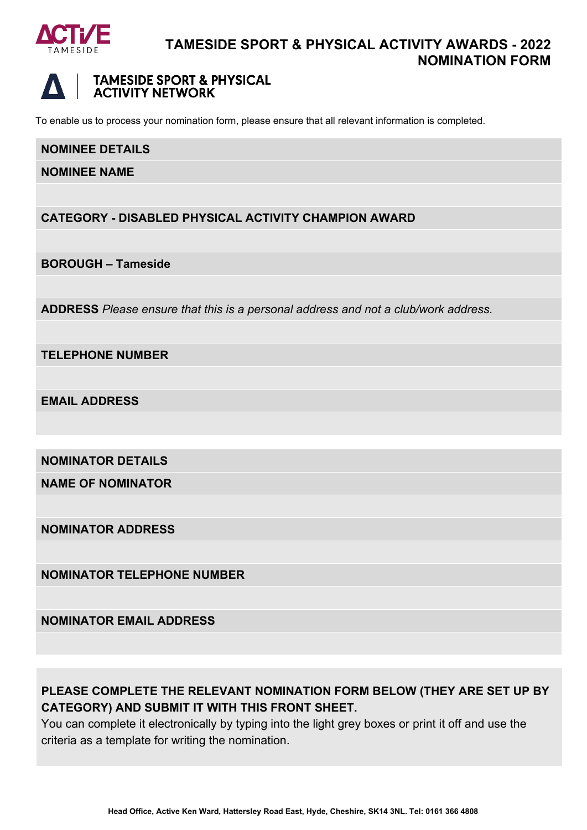



#### **TAMESIDE SPORT & PHYSICAL ACTIVITY NETWORK**

To enable us to process your nomination form, please ensure that all relevant information is completed.

#### **NOMINEE DETAILS**

**NOMINEE NAME**

#### **CATEGORY - DISABLED PHYSICAL ACTIVITY CHAMPION AWARD**

**BOROUGH – Tameside** 

**ADDRESS** *Please ensure that this is a personal address and not a club/work address.*

**TELEPHONE NUMBER**

**EMAIL ADDRESS**

**NOMINATOR DETAILS**

**NAME OF NOMINATOR**

**NOMINATOR ADDRESS**

**NOMINATOR TELEPHONE NUMBER**

**NOMINATOR EMAIL ADDRESS**

# **PLEASE COMPLETE THE RELEVANT NOMINATION FORM BELOW (THEY ARE SET UP BY CATEGORY) AND SUBMIT IT WITH THIS FRONT SHEET.**

You can complete it electronically by typing into the light grey boxes or print it off and use the criteria as a template for writing the nomination.